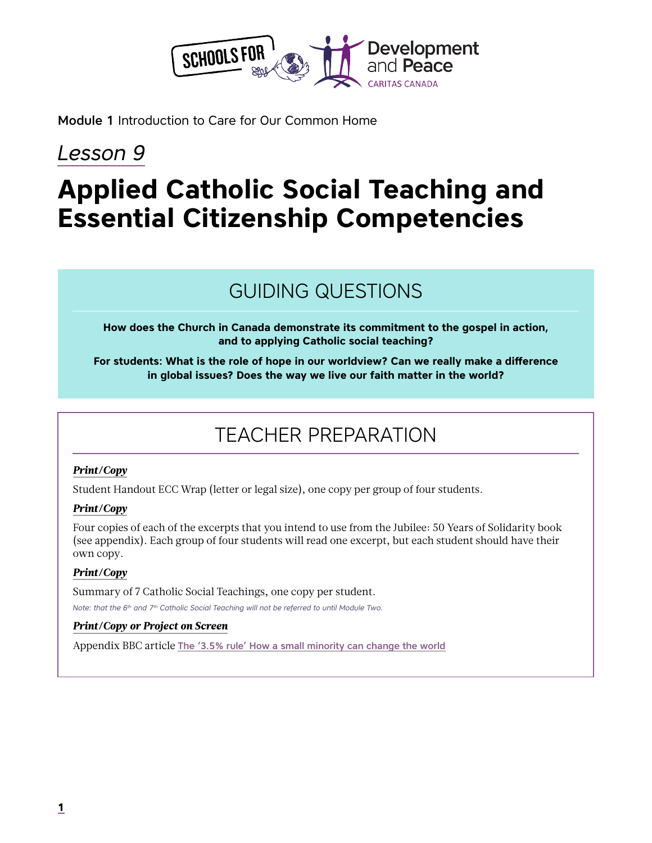

Module 1 Introduction to Care for Our Common Home

# *Lesson 9*

# **Applied Catholic Social Teaching and Essential Citizenship Competencies**

# GUIDING QUESTIONS

**How does the Church in Canada demonstrate its commitment to the gospel in action, and to applying Catholic social teaching?**

**For students: What is the role of hope in our worldview? Can we really make a difference in global issues? Does the way we live our faith matter in the world?** 

# TEACHER PREPARATION

#### *Print/Copy*

Student Handout ECC Wrap (letter or legal size), one copy per group of four students.

#### *Print/Copy*

Four copies of each of the excerpts that you intend to use from the Jubilee: 50 Years of Solidarity book (see appendix). Each group of four students will read one excerpt, but each student should have their own copy.

#### *Print/Copy*

Summary of 7 Catholic Social Teachings, one copy per student.

*Note: that the 6th and 7th Catholic Social Teaching will not be referred to until Module Two.*

#### *Print/Copy or Project on Screen*

Appendix BBC article [The '3.5% rule' How a small minority can change the world](https://www.bbc.com/future/article/20190513-it-only-takes-35-of-people-to-change-the-world?fbclid=IwAR34rZ0T6jjIbHDedPg5cVVToQ1lz0D3QRb5ZQEVBnrYkS6wAOwjNthBGek)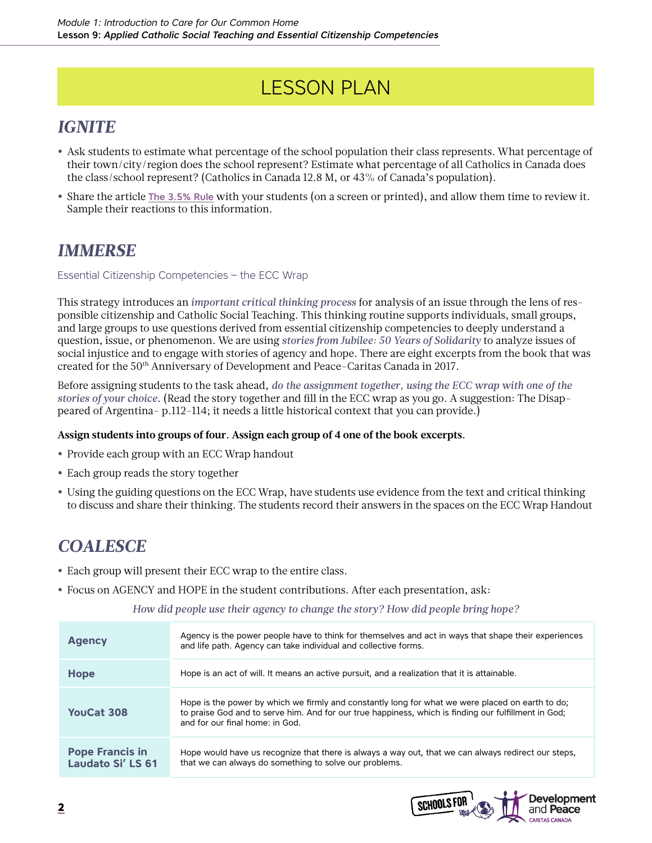# LESSON PLAN

### *IGNITE*

- **•** Ask students to estimate what percentage of the school population their class represents. What percentage of their town/city/region does the school represent? Estimate what percentage of all Catholics in Canada does the class/school represent? (Catholics in Canada 12.8 M, or 43% of Canada's population).
- **•** Share the article [The 3.5% Rule](https://www.bbc.com/future/article/20190513-it-only-takes-35-of-people-to-change-the-world?fbclid=IwAR34rZ0T6jjIbHDedPg5cVVToQ1lz0D3QRb5ZQEVBnrYkS6wAOwjNthBGek) with your students (on a screen or printed), and allow them time to review it. Sample their reactions to this information.

### *IMMERSE*

Essential Citizenship Competencies – the ECC Wrap

This strategy introduces an *important critical thinking process* for analysis of an issue through the lens of responsible citizenship and Catholic Social Teaching. This thinking routine supports individuals, small groups, and large groups to use questions derived from essential citizenship competencies to deeply understand a question, issue, or phenomenon. We are using *stories from Jubilee: 50 Years of Solidarity* to analyze issues of social injustice and to engage with stories of agency and hope. There are eight excerpts from the book that was created for the 50th Anniversary of Development and Peace-Caritas Canada in 2017.

Before assigning students to the task ahead, *do the assignment together, using the ECC wrap with one of the stories of your choice*. (Read the story together and fill in the ECC wrap as you go. A suggestion: The Disappeared of Argentina- p.112-114; it needs a little historical context that you can provide.)

#### **Assign students into groups of four. Assign each group of 4 one of the book excerpts.**

- **•** Provide each group with an ECC Wrap handout
- **•** Each group reads the story together
- **•** Using the guiding questions on the ECC Wrap, have students use evidence from the text and critical thinking to discuss and share their thinking. The students record their answers in the spaces on the ECC Wrap Handout

### *COALESCE*

- **•** Each group will present their ECC wrap to the entire class.
- **•** Focus on AGENCY and HOPE in the student contributions. After each presentation, ask:

*How did people use their agency to change the story? How did people bring hope?*

| <b>Agency</b>                                      | Agency is the power people have to think for themselves and act in ways that shape their experiences<br>and life path. Agency can take individual and collective forms.                                                                     |
|----------------------------------------------------|---------------------------------------------------------------------------------------------------------------------------------------------------------------------------------------------------------------------------------------------|
| Hope                                               | Hope is an act of will. It means an active pursuit, and a realization that it is attainable.                                                                                                                                                |
| YouCat 308                                         | Hope is the power by which we firmly and constantly long for what we were placed on earth to do;<br>to praise God and to serve him. And for our true happiness, which is finding our fulfillment in God;<br>and for our final home: in God. |
| <b>Pope Francis in</b><br><b>Laudato Si' LS 61</b> | Hope would have us recognize that there is always a way out, that we can always redirect our steps,<br>that we can always do something to solve our problems.                                                                               |

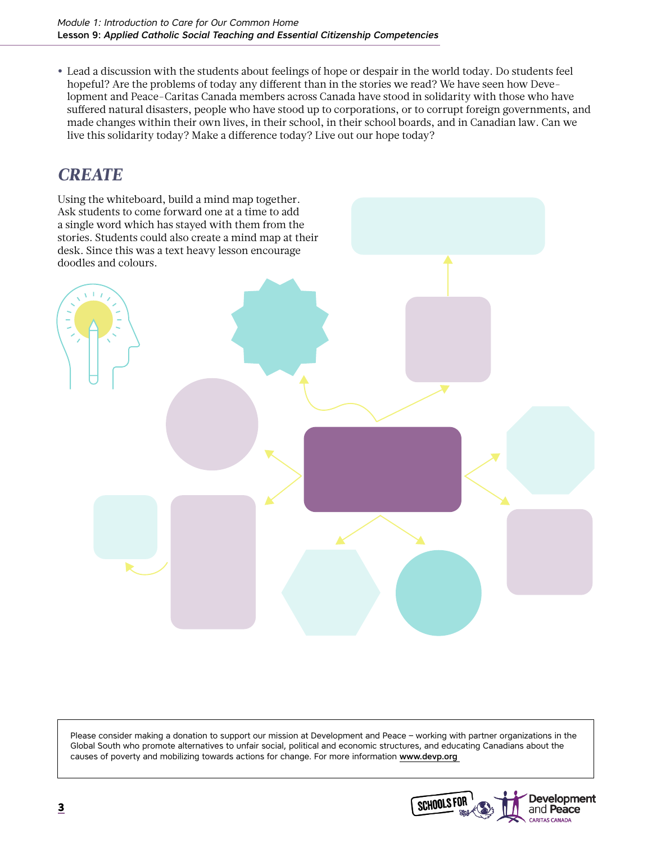**•** Lead a discussion with the students about feelings of hope or despair in the world today. Do students feel hopeful? Are the problems of today any different than in the stories we read? We have seen how Development and Peace-Caritas Canada members across Canada have stood in solidarity with those who have suffered natural disasters, people who have stood up to corporations, or to corrupt foreign governments, and made changes within their own lives, in their school, in their school boards, and in Canadian law. Can we live this solidarity today? Make a difference today? Live out our hope today?

### *CREATE*

Using the whiteboard, build a mind map together. Ask students to come forward one at a time to add a single word which has stayed with them from the stories. Students could also create a mind map at their desk. Since this was a text heavy lesson encourage doodles and colours.



Please consider making a donation to support our mission at Development and Peace – working with partner organizations in the Global South who promote alternatives to unfair social, political and economic structures, and educating Canadians about the causes of poverty and mobilizing towards actions for change. For more information www.devp.org

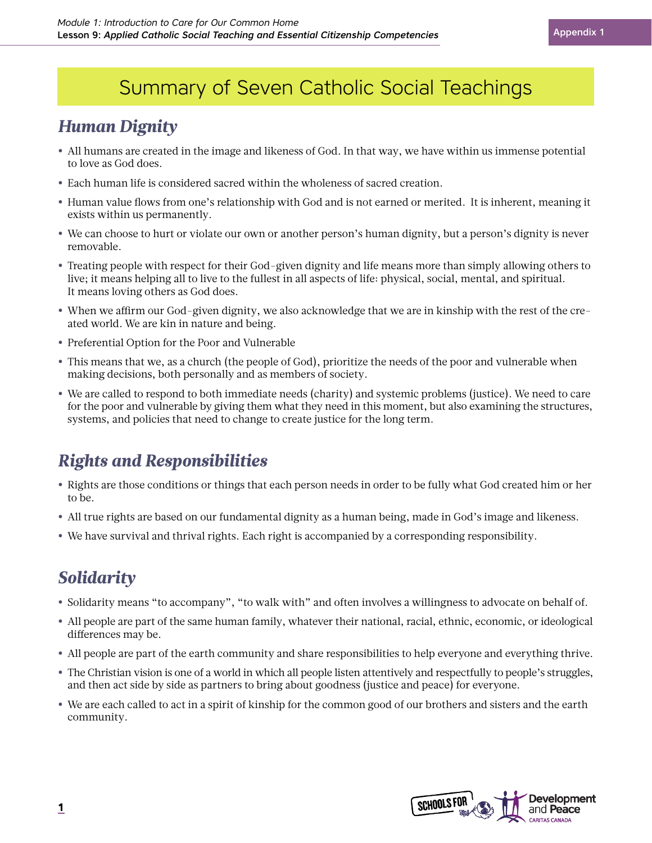# Summary of Seven Catholic Social Teachings

### *Human Dignity*

- **•** All humans are created in the image and likeness of God. In that way, we have within us immense potential to love as God does.
- **•** Each human life is considered sacred within the wholeness of sacred creation.
- **•** Human value flows from one's relationship with God and is not earned or merited. It is inherent, meaning it exists within us permanently.
- **•** We can choose to hurt or violate our own or another person's human dignity, but a person's dignity is never removable.
- **•** Treating people with respect for their God-given dignity and life means more than simply allowing others to live; it means helping all to live to the fullest in all aspects of life: physical, social, mental, and spiritual. It means loving others as God does.
- **•** When we affirm our God-given dignity, we also acknowledge that we are in kinship with the rest of the created world. We are kin in nature and being.
- **•** Preferential Option for the Poor and Vulnerable
- **•** This means that we, as a church (the people of God), prioritize the needs of the poor and vulnerable when making decisions, both personally and as members of society.
- **•** We are called to respond to both immediate needs (charity) and systemic problems (justice). We need to care for the poor and vulnerable by giving them what they need in this moment, but also examining the structures, systems, and policies that need to change to create justice for the long term.

## *Rights and Responsibilities*

- **•** Rights are those conditions or things that each person needs in order to be fully what God created him or her to be.
- **•** All true rights are based on our fundamental dignity as a human being, made in God's image and likeness.
- **•** We have survival and thrival rights. Each right is accompanied by a corresponding responsibility.

# *Solidarity*

- **•** Solidarity means "to accompany", "to walk with" and often involves a willingness to advocate on behalf of.
- **•** All people are part of the same human family, whatever their national, racial, ethnic, economic, or ideological differences may be.
- **•** All people are part of the earth community and share responsibilities to help everyone and everything thrive.
- **•** The Christian vision is one of a world in which all people listen attentively and respectfully to people's struggles, and then act side by side as partners to bring about goodness (justice and peace) for everyone.
- **•** We are each called to act in a spirit of kinship for the common good of our brothers and sisters and the earth community.

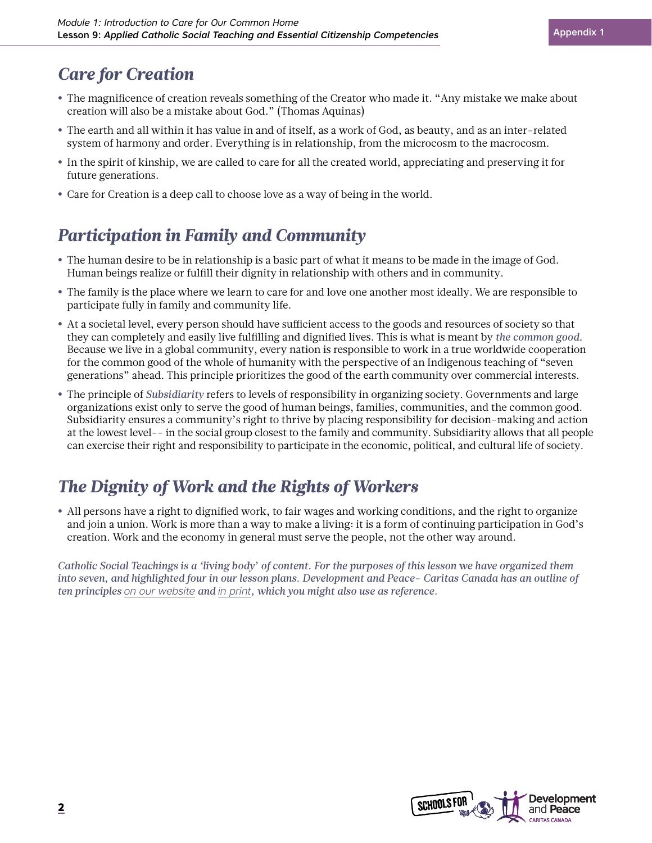### *Care for Creation*

- **•** The magnificence of creation reveals something of the Creator who made it. "Any mistake we make about creation will also be a mistake about God." (Thomas Aquinas)
- **•** The earth and all within it has value in and of itself, as a work of God, as beauty, and as an inter-related system of harmony and order. Everything is in relationship, from the microcosm to the macrocosm.
- **•** In the spirit of kinship, we are called to care for all the created world, appreciating and preserving it for future generations.
- **•** Care for Creation is a deep call to choose love as a way of being in the world.

### *Participation in Family and Community*

- **•** The human desire to be in relationship is a basic part of what it means to be made in the image of God. Human beings realize or fulfill their dignity in relationship with others and in community.
- **•** The family is the place where we learn to care for and love one another most ideally. We are responsible to participate fully in family and community life.
- **•** At a societal level, every person should have sufficient access to the goods and resources of society so that they can completely and easily live fulfilling and dignified lives. This is what is meant by *the common good*. Because we live in a global community, every nation is responsible to work in a true worldwide cooperation for the common good of the whole of humanity with the perspective of an Indigenous teaching of "seven generations" ahead. This principle prioritizes the good of the earth community over commercial interests.
- **•** The principle of *Subsidiarity* refers to levels of responsibility in organizing society. Governments and large organizations exist only to serve the good of human beings, families, communities, and the common good. Subsidiarity ensures a community's right to thrive by placing responsibility for decision-making and action at the lowest level-- in the social group closest to the family and community. Subsidiarity allows that all people can exercise their right and responsibility to participate in the economic, political, and cultural life of society.

# *The Dignity of Work and the Rights of Workers*

**•** All persons have a right to dignified work, to fair wages and working conditions, and the right to organize and join a union. Work is more than a way to make a living: it is a form of continuing participation in God's creation. Work and the economy in general must serve the people, not the other way around.

*Catholic Social Teachings is a 'living body' of content. For the purposes of this lesson we have organized them into seven, and highlighted four in our lesson plans. Development and Peace- Caritas Canada has an outline of ten principles [on our website](https://www.devp.org/en/cst) and [in print](https://www.devp.org/sites/www.devp.org/files/documents/materials/devpeace_cst_principles.pdf), which you might also use as reference.* 

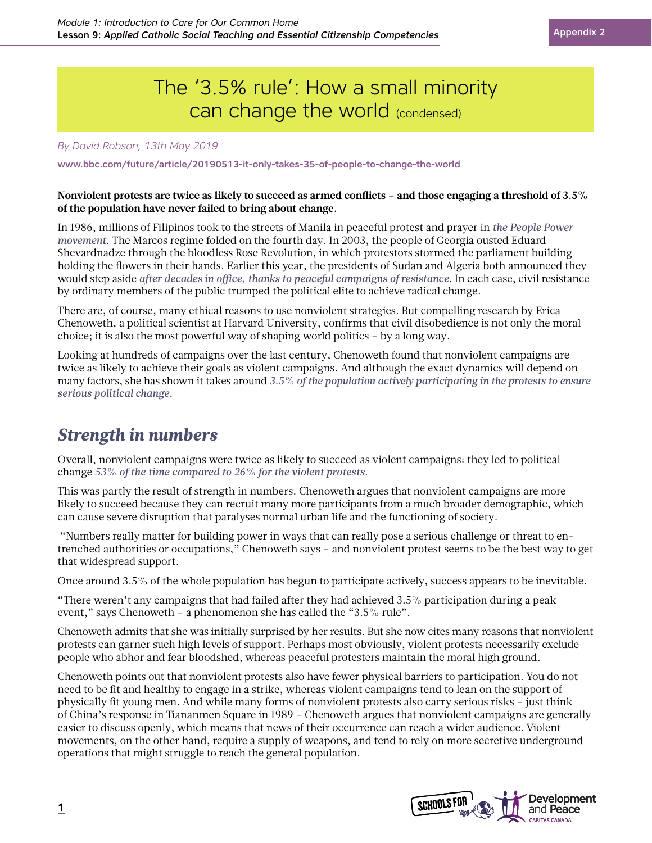# The '3.5% rule': How a small minority can change the world (condensed)

*By David Robson, 13th May 2019*

[www.bbc.com/future/article/20190513-it-only-takes-35-of-people-to-change-the-world](http://www.bbc.com/future/article/20190513-it-only-takes-35-of-people-to-change-the-world)

#### **Nonviolent protests are twice as likely to succeed as armed conflicts – and those engaging a threshold of 3.5% of the population have never failed to bring about change.**

In 1986, millions of Filipinos took to the streets of Manila in peaceful protest and prayer in *the People Power movement*. The Marcos regime folded on the fourth day. In 2003, the people of Georgia ousted Eduard Shevardnadze through the bloodless Rose Revolution, in which protestors stormed the parliament building holding the flowers in their hands. Earlier this year, the presidents of Sudan and Algeria both announced they would step aside *after decades in office, thanks to peaceful campaigns of resistance*. In each case, civil resistance by ordinary members of the public trumped the political elite to achieve radical change.

There are, of course, many ethical reasons to use nonviolent strategies. But compelling research by Erica Chenoweth, a political scientist at Harvard University, confirms that civil disobedience is not only the moral choice; it is also the most powerful way of shaping world politics – by a long way.

Looking at hundreds of campaigns over the last century, Chenoweth found that nonviolent campaigns are twice as likely to achieve their goals as violent campaigns. And although the exact dynamics will depend on many factors, she has shown it takes around *3.5% of the population actively participating in the protests to ensure serious political change*.

### *Strength in numbers*

Overall, nonviolent campaigns were twice as likely to succeed as violent campaigns: they led to political change *53% of the time compared to 26% for the violent protests*.

This was partly the result of strength in numbers. Chenoweth argues that nonviolent campaigns are more likely to succeed because they can recruit many more participants from a much broader demographic, which can cause severe disruption that paralyses normal urban life and the functioning of society.

 "Numbers really matter for building power in ways that can really pose a serious challenge or threat to entrenched authorities or occupations," Chenoweth says – and nonviolent protest seems to be the best way to get that widespread support.

Once around 3.5% of the whole population has begun to participate actively, success appears to be inevitable.

"There weren't any campaigns that had failed after they had achieved 3.5% participation during a peak event," says Chenoweth – a phenomenon she has called the "3.5% rule".

Chenoweth admits that she was initially surprised by her results. But she now cites many reasons that nonviolent protests can garner such high levels of support. Perhaps most obviously, violent protests necessarily exclude people who abhor and fear bloodshed, whereas peaceful protesters maintain the moral high ground.

Chenoweth points out that nonviolent protests also have fewer physical barriers to participation. You do not need to be fit and healthy to engage in a strike, whereas violent campaigns tend to lean on the support of physically fit young men. And while many forms of nonviolent protests also carry serious risks – just think of China's response in Tiananmen Square in 1989 – Chenoweth argues that nonviolent campaigns are generally easier to discuss openly, which means that news of their occurrence can reach a wider audience. Violent movements, on the other hand, require a supply of weapons, and tend to rely on more secretive underground operations that might struggle to reach the general population.

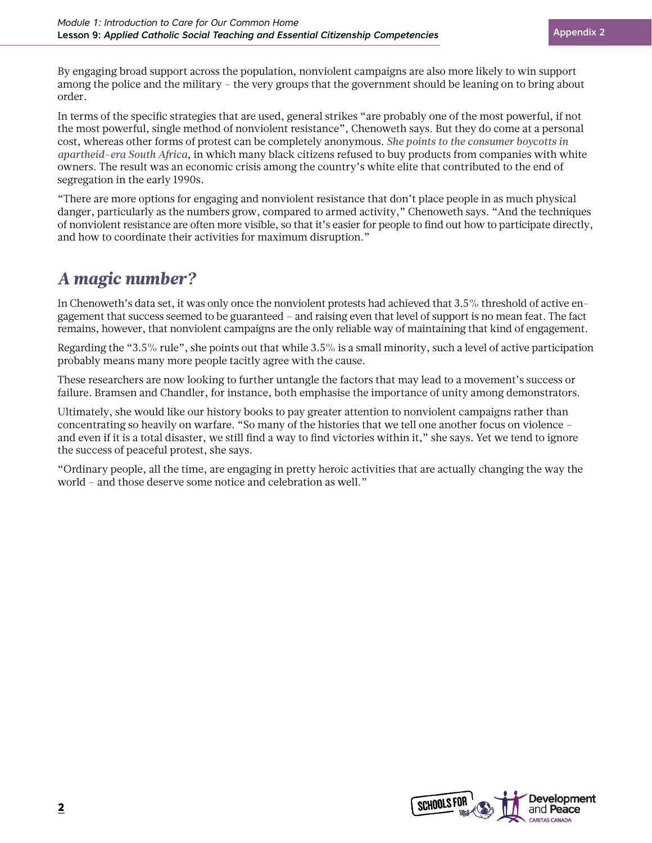By engaging broad support across the population, nonviolent campaigns are also more likely to win support among the police and the military – the very groups that the government should be leaning on to bring about order.

In terms of the specific strategies that are used, general strikes "are probably one of the most powerful, if not the most powerful, single method of nonviolent resistance", Chenoweth says. But they do come at a personal cost, whereas other forms of protest can be completely anonymous. *She points to the consumer boycotts in apartheid-era South Africa*, in which many black citizens refused to buy products from companies with white owners. The result was an economic crisis among the country's white elite that contributed to the end of segregation in the early 1990s.

"There are more options for engaging and nonviolent resistance that don't place people in as much physical danger, particularly as the numbers grow, compared to armed activity," Chenoweth says. "And the techniques of nonviolent resistance are often more visible, so that it's easier for people to find out how to participate directly, and how to coordinate their activities for maximum disruption."

### *A magic number?*

In Chenoweth's data set, it was only once the nonviolent protests had achieved that 3.5% threshold of active engagement that success seemed to be guaranteed – and raising even that level of support is no mean feat. The fact remains, however, that nonviolent campaigns are the only reliable way of maintaining that kind of engagement.

Regarding the "3.5% rule", she points out that while 3.5% is a small minority, such a level of active participation probably means many more people tacitly agree with the cause.

These researchers are now looking to further untangle the factors that may lead to a movement's success or failure. Bramsen and Chandler, for instance, both emphasise the importance of unity among demonstrators.

Ultimately, she would like our history books to pay greater attention to nonviolent campaigns rather than concentrating so heavily on warfare. "So many of the histories that we tell one another focus on violence – and even if it is a total disaster, we still find a way to find victories within it," she says. Yet we tend to ignore the success of peaceful protest, she says.

"Ordinary people, all the time, are engaging in pretty heroic activities that are actually changing the way the world – and those deserve some notice and celebration as well."